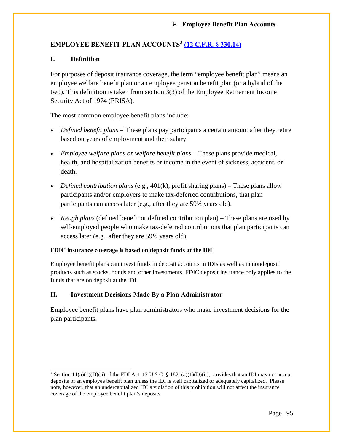# **EMPLOYEE BENEFIT PLAN ACCOUNTS[3](#page-0-0) [\(12 C.F.R. § 330.14\)](https://www.fdic.gov/regulations/laws/rules/2000-5400.html#fdic2000part330.14)**

## **I. Definition**

l

For purposes of deposit insurance coverage, the term "employee benefit plan" means an employee welfare benefit plan or an employee pension benefit plan (or a hybrid of the two). This definition is taken from section 3(3) of the Employee Retirement Income Security Act of 1974 (ERISA).

The most common employee benefit plans include:

- *Defined benefit plans* These plans pay participants a certain amount after they retire based on years of employment and their salary.
- *Employee welfare plans or welfare benefit plans* These plans provide medical, health, and hospitalization benefits or income in the event of sickness, accident, or death.
- *Defined contribution plans* (e.g., 401(k), profit sharing plans) These plans allow participants and/or employers to make tax-deferred contributions, that plan participants can access later (e.g., after they are 59½ years old).
- *Keogh plans* (defined benefit or defined contribution plan) These plans are used by self-employed people who make tax-deferred contributions that plan participants can access later (e.g., after they are 59½ years old).

## **FDIC insurance coverage is based on deposit funds at the IDI**

Employee benefit plans can invest funds in deposit accounts in IDIs as well as in nondeposit products such as stocks, bonds and other investments. FDIC deposit insurance only applies to the funds that are on deposit at the IDI.

## **II. Investment Decisions Made By a Plan Administrator**

Employee benefit plans have plan administrators who make investment decisions for the plan participants.

<span id="page-0-0"></span><sup>&</sup>lt;sup>3</sup> Section 11(a)(1)(D)(ii) of the FDI Act, 12 U.S.C. § 1821(a)(1)(D)(ii), provides that an IDI may not accept deposits of an employee benefit plan unless the IDI is well capitalized or adequately capitalized. Please note, however, that an undercapitalized IDI's violation of this prohibition will not affect the insurance coverage of the employee benefit plan's deposits.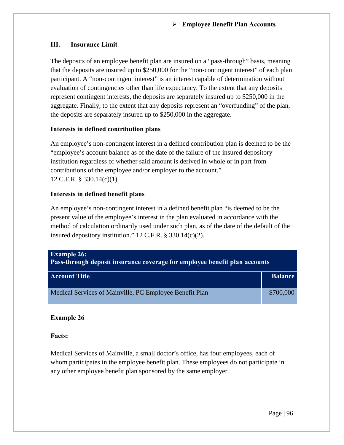## **III. Insurance Limit**

The deposits of an employee benefit plan are insured on a "pass-through" basis, meaning that the deposits are insured up to \$250,000 for the "non-contingent interest" of each plan participant. A "non-contingent interest" is an interest capable of determination without evaluation of contingencies other than life expectancy. To the extent that any deposits represent contingent interests, the deposits are separately insured up to \$250,000 in the aggregate. Finally, to the extent that any deposits represent an "overfunding" of the plan, the deposits are separately insured up to \$250,000 in the aggregate.

### **Interests in defined contribution plans**

An employee's non-contingent interest in a defined contribution plan is deemed to be the "employee's account balance as of the date of the failure of the insured depository institution regardless of whether said amount is derived in whole or in part from contributions of the employee and/or employer to the account." 12 C.F.R. § 330.14(c)(1).

## **Interests in defined benefit plans**

An employee's non-contingent interest in a defined benefit plan "is deemed to be the present value of the employee's interest in the plan evaluated in accordance with the method of calculation ordinarily used under such plan, as of the date of the default of the insured depository institution." 12 C.F.R. § 330.14(c)(2).

| <b>Example 26:</b><br>Pass-through deposit insurance coverage for employee benefit plan accounts |                |  |  |
|--------------------------------------------------------------------------------------------------|----------------|--|--|
| <b>Account Title</b>                                                                             | <b>Balance</b> |  |  |
| Medical Services of Mainville, PC Employee Benefit Plan                                          | \$700,000      |  |  |

## **Example 26**

**Facts:**

Medical Services of Mainville, a small doctor's office, has four employees, each of whom participates in the employee benefit plan. These employees do not participate in any other employee benefit plan sponsored by the same employer.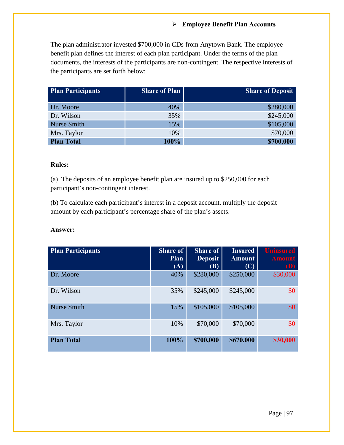The plan administrator invested \$700,000 in CDs from Anytown Bank. The employee benefit plan defines the interest of each plan participant. Under the terms of the plan documents, the interests of the participants are non-contingent. The respective interests of the participants are set forth below:

| <b>Plan Participants</b> | <b>Share of Plan</b> | <b>Share of Deposit</b> |
|--------------------------|----------------------|-------------------------|
| Dr. Moore                | 40%                  | \$280,000               |
|                          |                      |                         |
| Dr. Wilson               | 35%                  | \$245,000               |
| <b>Nurse Smith</b>       | 15%                  | \$105,000               |
| Mrs. Taylor              | 10%                  | \$70,000                |
| <b>Plan Total</b>        | 100%                 | \$700,000               |

## **Rules:**

(a) The deposits of an employee benefit plan are insured up to \$250,000 for each participant's non-contingent interest.

(b) To calculate each participant's interest in a deposit account, multiply the deposit amount by each participant's percentage share of the plan's assets.

| <b>Plan Participants</b> | <b>Share of</b><br>Plan<br>(A) | <b>Share of</b><br><b>Deposit</b><br><b>(B)</b> | <b>Insured</b><br><b>Amount</b><br>(C) | <b>Uninsured</b><br><b>Amount</b><br>(D) |
|--------------------------|--------------------------------|-------------------------------------------------|----------------------------------------|------------------------------------------|
| Dr. Moore                | 40%                            | \$280,000                                       | \$250,000                              | \$30,000                                 |
| Dr. Wilson               | 35%                            | \$245,000                                       | \$245,000                              | \$0                                      |
| <b>Nurse Smith</b>       | 15%                            | \$105,000                                       | \$105,000                              | \$0                                      |
| Mrs. Taylor              | 10%                            | \$70,000                                        | \$70,000                               | \$0                                      |
| <b>Plan Total</b>        | 100%                           | \$700,000                                       | \$670,000                              | \$30,000                                 |

#### **Answer:**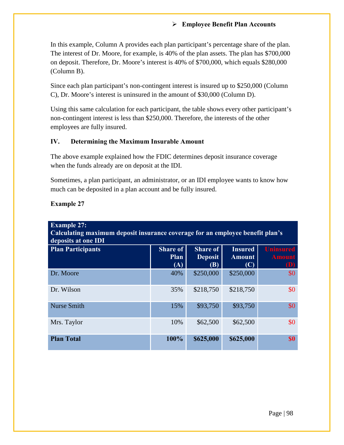In this example, Column A provides each plan participant's percentage share of the plan. The interest of Dr. Moore, for example, is 40% of the plan assets. The plan has \$700,000 on deposit. Therefore, Dr. Moore's interest is 40% of \$700,000, which equals \$280,000 (Column B).

Since each plan participant's non-contingent interest is insured up to \$250,000 (Column C), Dr. Moore's interest is uninsured in the amount of \$30,000 (Column D).

Using this same calculation for each participant, the table shows every other participant's non-contingent interest is less than \$250,000. Therefore, the interests of the other employees are fully insured.

### **IV. Determining the Maximum Insurable Amount**

The above example explained how the FDIC determines deposit insurance coverage when the funds already are on deposit at the IDI.

Sometimes, a plan participant, an administrator, or an IDI employee wants to know how much can be deposited in a plan account and be fully insured.

| <b>Example 27:</b><br>Calculating maximum deposit insurance coverage for an employee benefit plan's<br>deposits at one IDI |                                       |                                                 |                                        |                                          |  |
|----------------------------------------------------------------------------------------------------------------------------|---------------------------------------|-------------------------------------------------|----------------------------------------|------------------------------------------|--|
| <b>Plan Participants</b>                                                                                                   | <b>Share of</b><br><b>Plan</b><br>(A) | <b>Share of</b><br><b>Deposit</b><br><b>(B)</b> | <b>Insured</b><br><b>Amount</b><br>(C) | <b>Uninsured</b><br><b>Amount</b><br>(D) |  |
| Dr. Moore                                                                                                                  | 40%                                   | \$250,000                                       | \$250,000                              | \$0                                      |  |
| Dr. Wilson                                                                                                                 | 35%                                   | \$218,750                                       | \$218,750                              | \$0                                      |  |
| <b>Nurse Smith</b>                                                                                                         | 15%                                   | \$93,750                                        | \$93,750                               | \$0                                      |  |
| Mrs. Taylor                                                                                                                | 10%                                   | \$62,500                                        | \$62,500                               | \$0                                      |  |
| <b>Plan Total</b>                                                                                                          | 100%                                  | \$625,000                                       | \$625,000                              | <b>SO</b>                                |  |

## **Example 27**